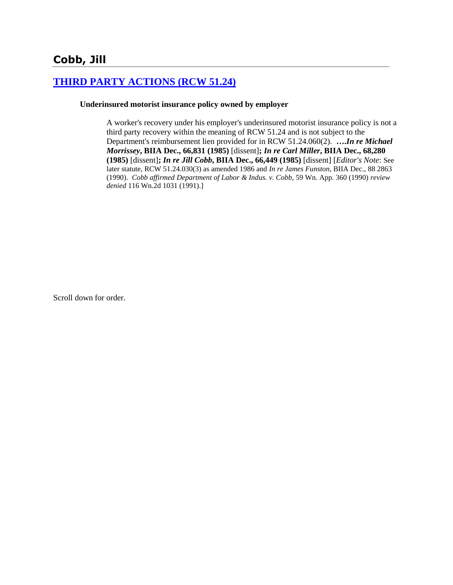# **[THIRD PARTY ACTIONS \(RCW 51.24\)](http://www.biia.wa.gov/SDSubjectIndex.html#THIRD_PARTY_ACTIONS)**

## **Underinsured motorist insurance policy owned by employer**

A worker's recovery under his employer's underinsured motorist insurance policy is not a third party recovery within the meaning of RCW 51.24 and is not subject to the Department's reimbursement lien provided for in RCW 51.24.060(2). **….***In re Michael Morrissey***, BIIA Dec., 66,831 (1985)** [dissent]**;** *In re Carl Miller***, BIIA Dec., 68,280 (1985)** [dissent]**;** *In re Jill Cobb***, BIIA Dec., 66,449 (1985)** [dissent] [*Editor's Note*: See later statute, RCW 51.24.030(3) as amended 1986 and *In re James Funston*, BIIA Dec., 88 2863 (1990). *Cobb affirmed Department of Labor & Indus. v. Cobb*, 59 Wn. App. 360 (1990) *review denied* 116 Wn.2d 1031 (1991).]

Scroll down for order.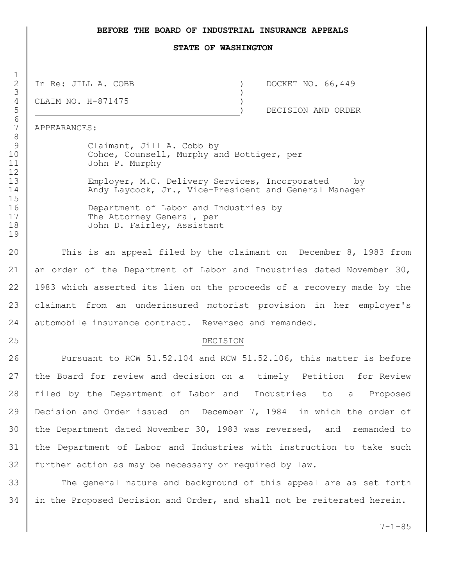### **BEFORE THE BOARD OF INDUSTRIAL INSURANCE APPEALS**

#### **STATE OF WASHINGTON**

In Re: JILL A. COBB ) DOCKET NO. 66,449

CLAIM NO. H-871475 )

) DECISION AND ORDER

APPEARANCES:

9 Claimant, Jill A. Cobb by 10 Cohoe, Counsell, Murphy and Bottiger, per John P. Murphy

 Employer, M.C. Delivery Services, Incorporated by 14 Andy Laycock, Jr., Vice-President and General Manager

 Department of Labor and Industries by 17 The Attorney General, per John D. Fairley, Assistant

20 This is an appeal filed by the claimant on December 8, 1983 from 21 an order of the Department of Labor and Industries dated November 30, 1983 which asserted its lien on the proceeds of a recovery made by the claimant from an underinsured motorist provision in her employer's 24 automobile insurance contract. Reversed and remanded.

## 25 DECISION

 Pursuant to RCW 51.52.104 and RCW 51.52.106, this matter is before the Board for review and decision on a timely Petition for Review filed by the Department of Labor and Industries to a Proposed Decision and Order issued on December 7, 1984 in which the order of the Department dated November 30, 1983 was reversed, and remanded to the Department of Labor and Industries with instruction to take such further action as may be necessary or required by law.

33 The general nature and background of this appeal are as set forth in the Proposed Decision and Order, and shall not be reiterated herein.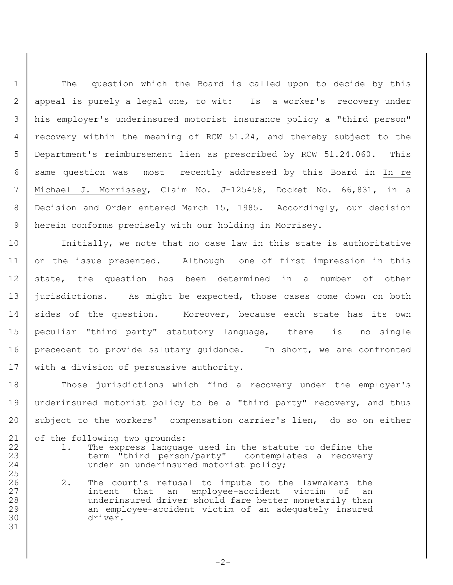1 | The question which the Board is called upon to decide by this appeal is purely a legal one, to wit: Is a worker's recovery under his employer's underinsured motorist insurance policy a "third person" recovery within the meaning of RCW 51.24, and thereby subject to the Department's reimbursement lien as prescribed by RCW 51.24.060. This same question was most recently addressed by this Board in In re Michael J. Morrissey, Claim No. J-125458, Docket No. 66,831, in a Decision and Order entered March 15, 1985. Accordingly, our decision herein conforms precisely with our holding in Morrisey.

10 | Initially, we note that no case law in this state is authoritative 11 on the issue presented. Although one of first impression in this 12 state, the question has been determined in a number of other 13 jurisdictions. As might be expected, those cases come down on both 14 sides of the question. Moreover, because each state has its own 15 peculiar "third party" statutory language, there is no single 16 precedent to provide salutary guidance. In short, we are confronted 17 | with a division of persuasive authority.

18 Those jurisdictions which find a recovery under the employer's 19 underinsured motorist policy to be a "third party" recovery, and thus 20 subject to the workers' compensation carrier's lien, do so on either

21 of the following two grounds:

25

31

- 22 1. The express language used in the statute to define the 23 | term "third person/party" contemplates a recovery 24 under an underinsured motorist policy;
- 26 2. The court's refusal to impute to the lawmakers the 27 | intent that an employee-accident victim of an 28 underinsured driver should fare better monetarily than 29 an employee-accident victim of an adequately insured 30 driver.

 $-2-$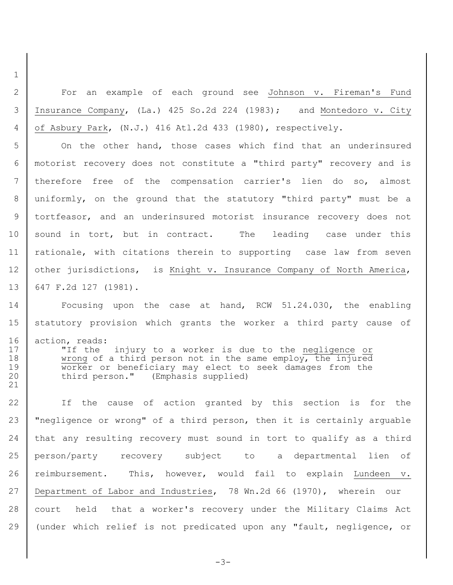2 For an example of each ground see Johnson v. Fireman's Fund 3 Insurance Company, (La.) 425 So.2d 224 (1983); and Montedoro v. City 4 of Asbury Park, (N.J.) 416 Atl.2d 433 (1980), respectively.

1

21

 On the other hand, those cases which find that an underinsured motorist recovery does not constitute a "third party" recovery and is therefore free of the compensation carrier's lien do so, almost uniformly, on the ground that the statutory "third party" must be a tortfeasor, and an underinsured motorist insurance recovery does not 10 | sound in tort, but in contract. The leading case under this 11 | rationale, with citations therein to supporting case law from seven 12 other jurisdictions, is Knight v. Insurance Company of North America, 647 F.2d 127 (1981).

14 Focusing upon the case at hand, RCW 51.24.030, the enabling 15 statutory provision which grants the worker a third party cause of 16 action, reads: 17 | Tis the injury to a worker is due to the negligence or 18 wrong of a third person not in the same employ, the injured 19 Worker or beneficiary may elect to seek damages from the 20 third person." (Emphasis supplied)

 If the cause of action granted by this section is for the 23 | "negligence or wrong" of a third person, then it is certainly arguable that any resulting recovery must sound in tort to qualify as a third person/party recovery subject to a departmental lien of 26 reimbursement. This, however, would fail to explain Lundeen v. Department of Labor and Industries, 78 Wn.2d 66 (1970), wherein our 28 court held that a worker's recovery under the Military Claims Act (under which relief is not predicated upon any "fault, negligence, or

-3-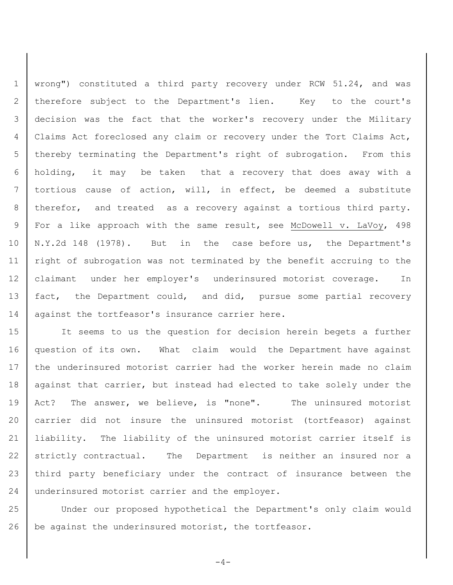wrong") constituted a third party recovery under RCW 51.24, and was 2 | therefore subject to the Department's lien. Key to the court's decision was the fact that the worker's recovery under the Military Claims Act foreclosed any claim or recovery under the Tort Claims Act, thereby terminating the Department's right of subrogation. From this holding, it may be taken that a recovery that does away with a tortious cause of action, will, in effect, be deemed a substitute 8 | therefor, and treated as a recovery against a tortious third party. For a like approach with the same result, see McDowell v. LaVoy, 498 N.Y.2d 148 (1978). But in the case before us, the Department's right of subrogation was not terminated by the benefit accruing to the claimant under her employer's underinsured motorist coverage. In 13 | fact, the Department could, and did, pursue some partial recovery 14 | against the tortfeasor's insurance carrier here.

15 It seems to us the question for decision herein begets a further 16 question of its own. What claim would the Department have against 17 the underinsured motorist carrier had the worker herein made no claim 18 against that carrier, but instead had elected to take solely under the 19 Act? The answer, we believe, is "none". The uninsured motorist 20 carrier did not insure the uninsured motorist (tortfeasor) against 21 liability. The liability of the uninsured motorist carrier itself is 22 strictly contractual. The Department is neither an insured nor a 23 third party beneficiary under the contract of insurance between the 24 underinsured motorist carrier and the employer.

25 Under our proposed hypothetical the Department's only claim would 26 be against the underinsured motorist, the tortfeasor.

 $-4-$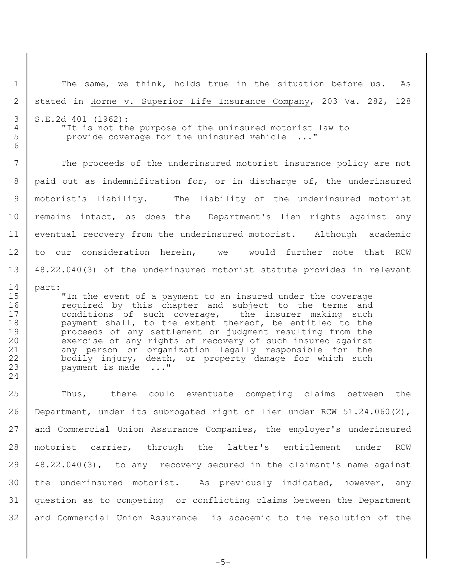1 | The same, we think, holds true in the situation before us. As stated in Horne v. Superior Life Insurance Company, 203 Va. 282, 128 S.E.2d 401 (1962): "It is not the purpose of the uninsured motorist law to provide coverage for the uninsured vehicle ..." 7 The proceeds of the underinsured motorist insurance policy are not paid out as indemnification for, or in discharge of, the underinsured motorist's liability. The liability of the underinsured motorist 10 | remains intact, as does the Department's lien rights against any 11 eventual recovery from the underinsured motorist. Although academic to our consideration herein, we would further note that RCW 48.22.040(3) of the underinsured motorist statute provides in relevant part: **"**In the event of a payment to an insured under the coverage **c** required by this chapter and subject to the terms and 17 | conditions of such coverage, the insurer making such 18 payment shall, to the extent thereof, be entitled to the proceeds of any settlement or judgment resulting from the 20 exercise of any rights of recovery of such insured against 21 any person or organization legally responsible for the 22 bodily injury, death, or property damage for which such 23 payment is made ..." Thus, there could eventuate competing claims between the 26 Department, under its subrogated right of lien under RCW 51.24.060(2), and Commercial Union Assurance Companies, the employer's underinsured motorist carrier, through the latter's entitlement under RCW 48.22.040(3), to any recovery secured in the claimant's name against the underinsured motorist. As previously indicated, however, any question as to competing or conflicting claims between the Department and Commercial Union Assurance is academic to the resolution of the

 $-5-$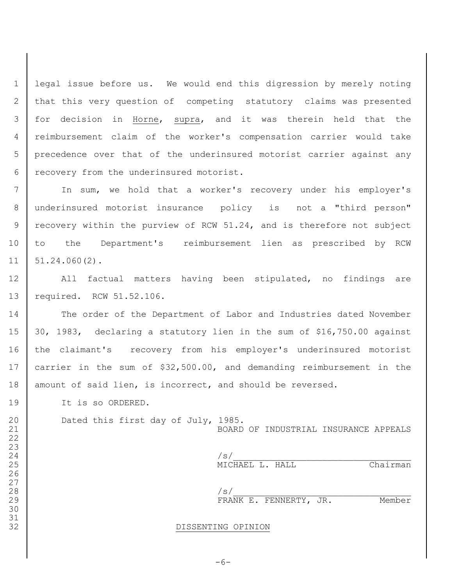legal issue before us. We would end this digression by merely noting that this very question of competing statutory claims was presented for decision in Horne, supra, and it was therein held that the reimbursement claim of the worker's compensation carrier would take precedence over that of the underinsured motorist carrier against any 6 | recovery from the underinsured motorist.

 In sum, we hold that a worker's recovery under his employer's underinsured motorist insurance policy is not a "third person" 9 | recovery within the purview of RCW 51.24, and is therefore not subject to the Department's reimbursement lien as prescribed by RCW  $11 \mid 51.24.060(2)$ .

 All factual matters having been stipulated, no findings are required. RCW 51.52.106.

14 The order of the Department of Labor and Industries dated November 30, 1983, declaring a statutory lien in the sum of \$16,750.00 against 16 | the claimant's recovery from his employer's underinsured motorist carrier in the sum of \$32,500.00, and demanding reimbursement in the 18 | amount of said lien, is incorrect, and should be reversed.

19 It is so ORDERED.

 

 

 

20 Dated this first day of July, 1985.

BOARD OF INDUSTRIAL INSURANCE APPEALS

 $/s/$ MICHAEL L. HALL Chairman

 $/s/$ 29 FRANK E. FENNERTY, JR. Member

## DISSENTING OPINION

 $-6-$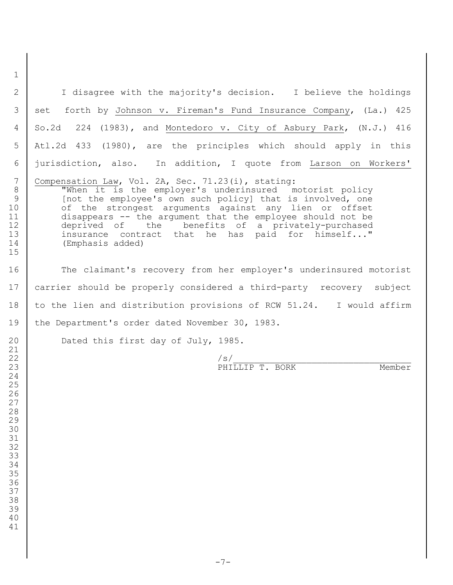I disagree with the majority's decision. I believe the holdings 3 set forth by Johnson v. Fireman's Fund Insurance Company, (La.) 425 So.2d 224 (1983), and Montedoro v. City of Asbury Park, (N.J.) 416 Atl.2d 433 (1980), are the principles which should apply in this jurisdiction, also. In addition, I quote from Larson on Workers' Compensation Law, Vol. 2A, Sec. 71.23(i), stating: 8 | When it is the employer's underinsured motorist policy 9 | [not the employee's own such policy] that is involved, one 10 of the strongest arguments against any lien or offset 11 disappears -- the argument that the employee should not be<br>12 deprived of the benefits of a privately-purchased deprived of the benefits of a privately-purchased 13 insurance contract that he has paid for himself..." (Emphasis added) 16 The claimant's recovery from her employer's underinsured motorist carrier should be properly considered a third-party recovery subject 18 to the lien and distribution provisions of RCW 51.24. I would affirm 19 | the Department's order dated November 30, 1983. 20 Dated this first day of July, 1985. /s/\_\_\_\_\_\_\_\_\_\_\_\_\_\_\_\_\_\_\_\_\_\_\_\_\_\_\_\_\_\_\_\_\_\_ 23 PHILLIP T. BORK Member